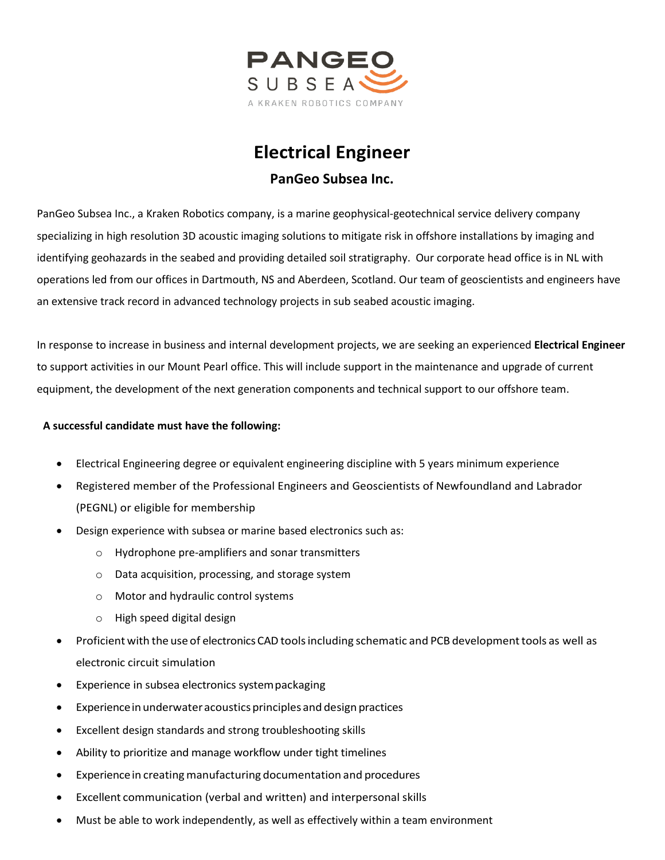

## **Electrical Engineer PanGeo Subsea Inc.**

PanGeo Subsea Inc., a Kraken Robotics company, is a marine geophysical-geotechnical service delivery company specializing in high resolution 3D acoustic imaging solutions to mitigate risk in offshore installations by imaging and identifying geohazards in the seabed and providing detailed soil stratigraphy. Our corporate head office is in NL with operations led from our offices in Dartmouth, NS and Aberdeen, Scotland. Our team of geoscientists and engineers have an extensive track record in advanced technology projects in sub seabed acoustic imaging.

In response to increase in business and internal development projects, we are seeking an experienced **Electrical Engineer** to support activities in our Mount Pearl office. This will include support in the maintenance and upgrade of current equipment, the development of the next generation components and technical support to our offshore team.

## **A successful candidate must have the following:**

- Electrical Engineering degree or equivalent engineering discipline with 5 years minimum experience
- Registered member of the Professional Engineers and Geoscientists of Newfoundland and Labrador (PEGNL) or eligible for membership
- Design experience with subsea or marine based electronics such as:
	- o Hydrophone pre-amplifiers and sonar transmitters
	- o Data acquisition, processing, and storage system
	- o Motor and hydraulic control systems
	- o High speed digital design
- Proficient with the use of electronicsCAD toolsincluding schematic and PCB developmenttools as well as electronic circuit simulation
- Experience in subsea electronics system packaging
- Experiencein underwateracousticsprinciples and design practices
- Excellent design standards and strong troubleshooting skills
- Ability to prioritize and manage workflow under tight timelines
- Experience in creating manufacturing documentation and procedures
- Excellent communication (verbal and written) and interpersonal skills
- Must be able to work independently, as well as effectively within a team environment